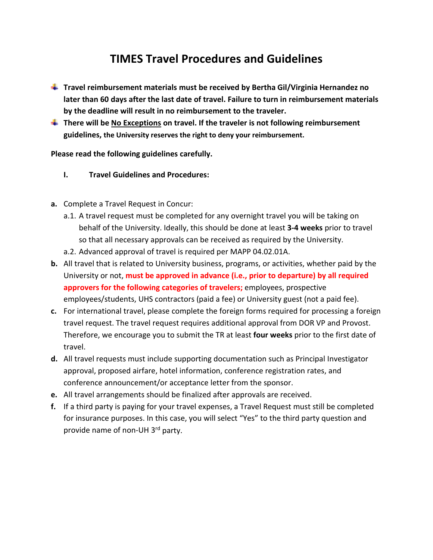## **TIMES Travel Procedures and Guidelines**

- **Travel reimbursement materials must be received by Bertha Gil/Virginia Hernandez no later than 60 days after the last date of travel. Failure to turn in reimbursement materials by the deadline will result in no reimbursement to the traveler.**
- **There will be No Exceptions on travel. If the traveler is not following reimbursement guidelines, the University reserves the right to deny your reimbursement.**

**Please read the following guidelines carefully.** 

- **I. Travel Guidelines and Procedures:**
- **a.** Complete a Travel Request in Concur:
	- a.1. A travel request must be completed for any overnight travel you will be taking on behalf of the University. Ideally, this should be done at least **3-4 weeks** prior to travel so that all necessary approvals can be received as required by the University.
	- a.2. Advanced approval of travel is required per MAPP 04.02.01A.
- **b.** All travel that is related to University business, programs, or activities, whether paid by the University or not, **must be approved in advance (i.e., prior to departure) by all required approvers for the following categories of travelers;** employees, prospective employees/students, UHS contractors (paid a fee) or University guest (not a paid fee).
- **c.** For international travel, please complete the foreign forms required for processing a foreign travel request. The travel request requires additional approval from DOR VP and Provost. Therefore, we encourage you to submit the TR at least **four weeks** prior to the first date of travel.
- **d.** All travel requests must include supporting documentation such as Principal Investigator approval, proposed airfare, hotel information, conference registration rates, and conference announcement/or acceptance letter from the sponsor.
- **e.** All travel arrangements should be finalized after approvals are received.
- **f.** If a third party is paying for your travel expenses, a Travel Request must still be completed for insurance purposes. In this case, you will select "Yes" to the third party question and provide name of non-UH 3rd party.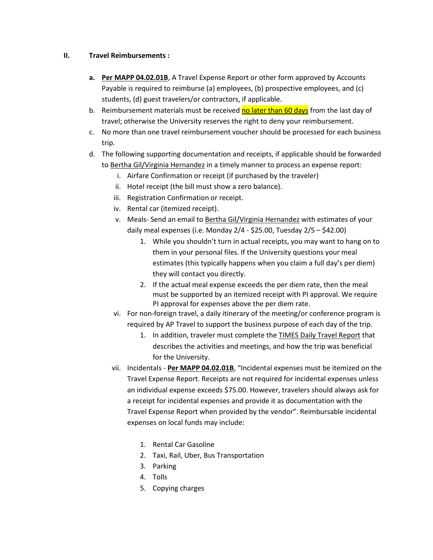## **II. Travel Reimbursements :**

- **a. Per MAPP 04.02.01B**, A Travel Expense Report or other form approved by Accounts Payable is required to reimburse (a) employees, (b) prospective employees, and (c) students, (d) guest travelers/or contractors, if applicable.
- b. Reimbursement materials must be received no later than 60 days from the last day of travel; otherwise the University reserves the right to deny your reimbursement.
- c. No more than one travel reimbursement voucher should be processed for each business trip.
- d. The following supporting documentation and receipts, if applicable should be forwarded to Bertha Gil/Virginia Hernandez in a timely manner to process an expense report:
	- i. Airfare Confirmation or receipt (if purchased by the traveler)
	- ii. Hotel receipt (the bill must show a zero balance).
	- iii. Registration Confirmation or receipt.
	- iv. Rental car (itemized receipt).
	- v. Meals- Send an email to Bertha Gil/Virginia Hernandez with estimates of your daily meal expenses (i.e. Monday 2/4 - \$25.00, Tuesday 2/5 – \$42.00)
		- 1. While you shouldn't turn in actual receipts, you may want to hang on to them in your personal files. If the University questions your meal estimates (this typically happens when you claim a full day's per diem) they will contact you directly.
		- 2. If the actual meal expense exceeds the per diem rate, then the meal must be supported by an itemized receipt with PI approval. We require PI approval for expenses above the per diem rate.
	- vi. For non-foreign travel, a daily itinerary of the meeting/or conference program is required by AP Travel to support the business purpose of each day of the trip.
		- 1. In addition, traveler must complete the TIMES Daily Travel Report that describes the activities and meetings, and how the trip was beneficial for the University.
	- vii. Incidentals **Per MAPP 04.02.01B**, "Incidental expenses must be itemized on the Travel Expense Report. Receipts are not required for incidental expenses unless an individual expense exceeds \$75.00. However, travelers should always ask for a receipt for incidental expenses and provide it as documentation with the Travel Expense Report when provided by the vendor". Reimbursable incidental expenses on local funds may include:
		- 1. Rental Car Gasoline
		- 2. Taxi, Rail, Uber, Bus Transportation
		- 3. Parking
		- 4. Tolls
		- 5. Copying charges